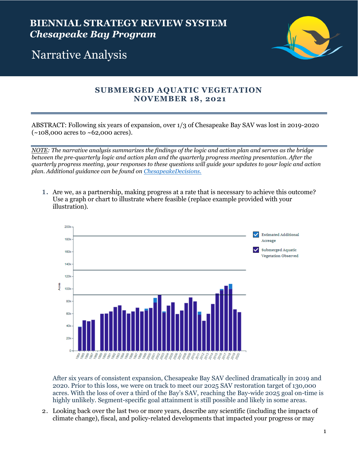

## Narrative Analysis

## **SUBMERGED AQUATIC VEGETATION NOVEMBER 18, 2021**

ABSTRACT: Following six years of expansion, over 1/3 of Chesapeake Bay SAV was lost in 2019-2020  $(-108,000 \text{ acres to } -62,000 \text{ acres}).$ 

*NOTE: The narrative analysis summarizes the findings of the logic and action plan and serves as the bridge between the pre-quarterly logic and action plan and the quarterly progress meeting presentation. After the quarterly progress meeting, your responses to these questions will guide your updates to your logic and action plan. Additional guidance can be found on [ChesapeakeDecisions.](http://www.chesapeakebay.net/decisions/srs-guide)*

1. Are we, as a partnership, making progress at a rate that is necessary to achieve this outcome? Use a graph or chart to illustrate where feasible (replace example provided with your illustration).



After six years of consistent expansion, Chesapeake Bay SAV declined dramatically in 2019 and 2020. Prior to this loss, we were on track to meet our 2025 SAV restoration target of 130,000 acres. With the loss of over a third of the Bay's SAV, reaching the Bay-wide 2025 goal on-time is highly unlikely. Segment-specific goal attainment is still possible and likely in some areas.

2. Looking back over the last two or more years, describe any scientific (including the impacts of climate change), fiscal, and policy-related developments that impacted your progress or may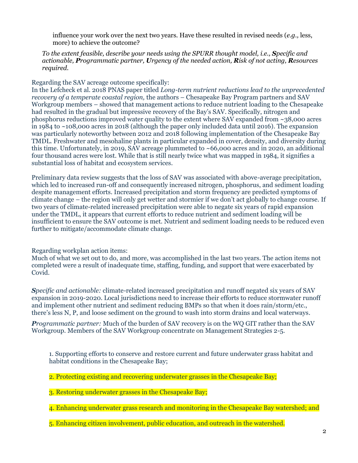influence your work over the next two years. Have these resulted in revised needs (*e.g.,* less, more) to achieve the outcome?

*To the extent feasible, describe your needs using the SPURR thought model, i.e., Specific and actionable, Programmatic partner, Urgency of the needed action, Risk of not acting, Resources required.*

Regarding the SAV acreage outcome specifically:

In the Lefcheck et al. 2018 PNAS paper titled *Long-term nutrient reductions lead to the unprecedented recovery of a temperate coastal region,* the authors – Chesapeake Bay Program partners and SAV Workgroup members – showed that management actions to reduce nutrient loading to the Chesapeake had resulted in the gradual but impressive recovery of the Bay's SAV. Specifically, nitrogen and phosphorus reductions improved water quality to the extent where SAV expanded from  $\sim$ 38,000 acres in 1984 to ~108,000 acres in 2018 (although the paper only included data until 2016). The expansion was particularly noteworthy between 2012 and 2018 following implementation of the Chesapeake Bay TMDL. Freshwater and mesohaline plants in particular expanded in cover, density, and diversity during this time. Unfortunately, in 2019, SAV acreage plummeted to  $\sim 66,000$  acres and in 2020, an additional four thousand acres were lost. While that is still nearly twice what was mapped in 1984, it signifies a substantial loss of habitat and ecosystem services.

Preliminary data review suggests that the loss of SAV was associated with above-average precipitation, which led to increased run-off and consequently increased nitrogen, phosphorus, and sediment loading despite management efforts. Increased precipitation and storm frequency are predicted symptoms of climate change – the region will only get wetter and stormier if we don't act globally to change course. If two years of climate-related increased precipitation were able to negate six years of rapid expansion under the TMDL, it appears that current efforts to reduce nutrient and sediment loading will be insufficient to ensure the SAV outcome is met. Nutrient and sediment loading needs to be reduced even further to mitigate/accommodate climate change.

Regarding workplan action items:

Much of what we set out to do, and more, was accomplished in the last two years. The action items not completed were a result of inadequate time, staffing, funding, and support that were exacerbated by Covid.

*Specific and actionable:* climate-related increased precipitation and runoff negated six years of SAV expansion in 2019-2020. Local jurisdictions need to increase their efforts to reduce stormwater runoff and implement other nutrient and sediment reducing BMPs so that when it does rain/storm/etc., there's less N, P, and loose sediment on the ground to wash into storm drains and local waterways.

*Programmatic partner:* Much of the burden of SAV recovery is on the WQ GIT rather than the SAV Workgroup. Members of the SAV Workgroup concentrate on Management Strategies 2-5.

1. Supporting efforts to conserve and restore current and future underwater grass habitat and habitat conditions in the Chesapeake Bay;

2. Protecting existing and recovering underwater grasses in the Chesapeake Bay;

3. Restoring underwater grasses in the Chesapeake Bay;

4. Enhancing underwater grass research and monitoring in the Chesapeake Bay watershed; and

5. Enhancing citizen involvement, public education, and outreach in the watershed.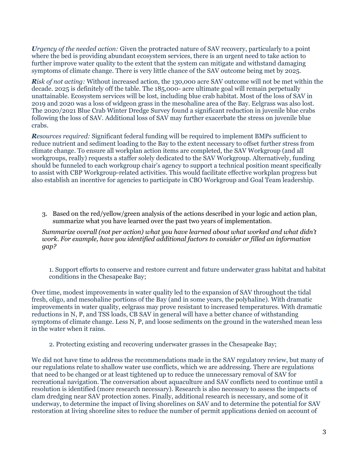*Urgency of the needed action:* Given the protracted nature of SAV recovery, particularly to a point where the bed is providing abundant ecosystem services, there is an urgent need to take action to further improve water quality to the extent that the system can mitigate and withstand damaging symptoms of climate change. There is very little chance of the SAV outcome being met by 2025.

*Risk of not acting:* Without increased action, the 130,000 acre SAV outcome will not be met within the decade. 2025 is definitely off the table. The 185,000- acre ultimate goal will remain perpetually unattainable. Ecosystem services will be lost, including blue crab habitat. Most of the loss of SAV in 2019 and 2020 was a loss of widgeon grass in the mesohaline area of the Bay. Eelgrass was also lost. The 2020/2021 Blue Crab Winter Dredge Survey found a significant reduction in juvenile blue crabs following the loss of SAV. Additional loss of SAV may further exacerbate the stress on juvenile blue crabs.

*Resources required:* Significant federal funding will be required to implement BMPs sufficient to reduce nutrient and sediment loading to the Bay to the extent necessary to offset further stress from climate change. To ensure all workplan action items are completed, the SAV Workgroup (and all workgroups, really) requests a staffer solely dedicated to the SAV Workgroup. Alternatively, funding should be funneled to each workgroup chair's agency to support a technical position meant specifically to assist with CBP Workgroup-related activities. This would facilitate effective workplan progress but also establish an incentive for agencies to participate in CBO Workgroup and Goal Team leadership.

3. Based on the red/yellow/green analysis of the actions described in your logic and action plan, summarize what you have learned over the past two years of implementation.

*Summarize overall (not per action) what you have learned about what worked and what didn't work. For example, have you identified additional factors to consider or filled an information gap?* 

1. Support efforts to conserve and restore current and future underwater grass habitat and habitat conditions in the Chesapeake Bay;

Over time, modest improvements in water quality led to the expansion of SAV throughout the tidal fresh, oligo, and mesohaline portions of the Bay (and in some years, the polyhaline). With dramatic improvements in water quality, eelgrass may prove resistant to increased temperatures. With dramatic reductions in N, P, and TSS loads, CB SAV in general will have a better chance of withstanding symptoms of climate change. Less N, P, and loose sediments on the ground in the watershed mean less in the water when it rains.

2. Protecting existing and recovering underwater grasses in the Chesapeake Bay;

We did not have time to address the recommendations made in the SAV regulatory review, but many of our regulations relate to shallow water use conflicts, which we are addressing. There are regulations that need to be changed or at least tightened up to reduce the unnecessary removal of SAV for recreational navigation. The conversation about aquaculture and SAV conflicts need to continue until a resolution is identified (more research necessary). Research is also necessary to assess the impacts of clam dredging near SAV protection zones. Finally, additional research is necessary, and some of it underway, to determine the impact of living shorelines on SAV and to determine the potential for SAV restoration at living shoreline sites to reduce the number of permit applications denied on account of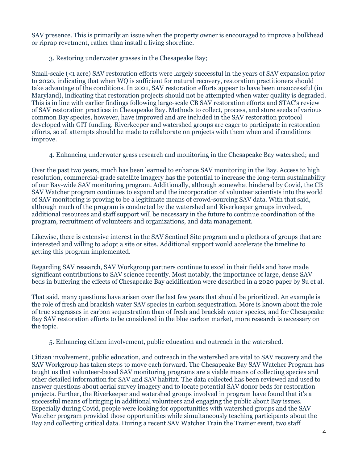SAV presence. This is primarily an issue when the property owner is encouraged to improve a bulkhead or riprap revetment, rather than install a living shoreline.

3. Restoring underwater grasses in the Chesapeake Bay;

Small-scale (<1 acre) SAV restoration efforts were largely successful in the years of SAV expansion prior to 2020, indicating that when WQ is sufficient for natural recovery, restoration practitioners should take advantage of the conditions. In 2021, SAV restoration efforts appear to have been unsuccessful (in Maryland), indicating that restoration projects should not be attempted when water quality is degraded. This is in line with earlier findings following large-scale CB SAV restoration efforts and STAC's review of SAV restoration practices in Chesapeake Bay. Methods to collect, process, and store seeds of various common Bay species, however, have improved and are included in the SAV restoration protocol developed with GIT funding. Riverkeeper and watershed groups are eager to participate in restoration efforts, so all attempts should be made to collaborate on projects with them when and if conditions improve.

4. Enhancing underwater grass research and monitoring in the Chesapeake Bay watershed; and

Over the past two years, much has been learned to enhance SAV monitoring in the Bay. Access to high resolution, commercial-grade satellite imagery has the potential to increase the long-term sustainability of our Bay-wide SAV monitoring program. Additionally, although somewhat hindered by Covid, the CB SAV Watcher program continues to expand and the incorporation of volunteer scientists into the world of SAV monitoring is proving to be a legitimate means of crowd-sourcing SAV data. With that said, although much of the program is conducted by the watershed and Riverkeeper groups involved, additional resources and staff support will be necessary in the future to continue coordination of the program, recruitment of volunteers and organizations, and data management.

Likewise, there is extensive interest in the SAV Sentinel Site program and a plethora of groups that are interested and willing to adopt a site or sites. Additional support would accelerate the timeline to getting this program implemented.

Regarding SAV research, SAV Workgroup partners continue to excel in their fields and have made significant contributions to SAV science recently. Most notably, the importance of large, dense SAV beds in buffering the effects of Chesapeake Bay acidification were described in a 2020 paper by Su et al.

That said, many questions have arisen over the last few years that should be prioritized. An example is the role of fresh and brackish water SAV species in carbon sequestration. More is known about the role of true seagrasses in carbon sequestration than of fresh and brackish water species, and for Chesapeake Bay SAV restoration efforts to be considered in the blue carbon market, more research is necessary on the topic.

5. Enhancing citizen involvement, public education and outreach in the watershed.

Citizen involvement, public education, and outreach in the watershed are vital to SAV recovery and the SAV Workgroup has taken steps to move each forward. The Chesapeake Bay SAV Watcher Program has taught us that volunteer-based SAV monitoring programs are a viable means of collecting species and other detailed information for SAV and SAV habitat. The data collected has been reviewed and used to answer questions about aerial survey imagery and to locate potential SAV donor beds for restoration projects. Further, the Riverkeeper and watershed groups involved in program have found that it's a successful means of bringing in additional volunteers and engaging the public about Bay issues. Especially during Covid, people were looking for opportunities with watershed groups and the SAV Watcher program provided those opportunities while simultaneously teaching participants about the Bay and collecting critical data. During a recent SAV Watcher Train the Trainer event, two staff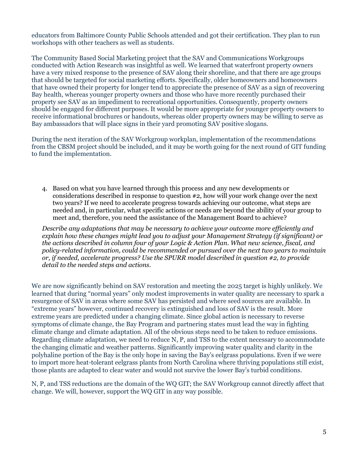educators from Baltimore County Public Schools attended and got their certification. They plan to run workshops with other teachers as well as students.

The Community Based Social Marketing project that the SAV and Communications Workgroups conducted with Action Research was insightful as well. We learned that waterfront property owners have a very mixed response to the presence of SAV along their shoreline, and that there are age groups that should be targeted for social marketing efforts. Specifically, older homeowners and homeowners that have owned their property for longer tend to appreciate the presence of SAV as a sign of recovering Bay health, whereas younger property owners and those who have more recently purchased their property see SAV as an impediment to recreational opportunities. Consequently, property owners should be engaged for different purposes. It would be more appropriate for younger property owners to receive informational brochures or handouts, whereas older property owners may be willing to serve as Bay ambassadors that will place signs in their yard promoting SAV positive slogans.

During the next iteration of the SAV Workgroup workplan, implementation of the recommendations from the CBSM project should be included, and it may be worth going for the next round of GIT funding to fund the implementation.

4. Based on what you have learned through this process and any new developments or considerations described in response to question #2, how will your work change over the next two years? If we need to accelerate progress towards achieving our outcome, what steps are needed and, in particular, what specific actions or needs are beyond the ability of your group to meet and, therefore, you need the assistance of the Management Board to achieve?

*Describe any adaptations that may be necessary to achieve your outcome more efficiently and explain how these changes might lead you to adjust your Management Strategy (if significant) or the actions described in column four of your Logic & Action Plan. What new science, fiscal, and policy-related information, could be recommended or pursued over the next two years to maintain or, if needed, accelerate progress? Use the SPURR model described in question #2, to provide detail to the needed steps and actions.*

We are now significantly behind on SAV restoration and meeting the 2025 target is highly unlikely. We learned that during "normal years" only modest improvements in water quality are necessary to spark a resurgence of SAV in areas where some SAV has persisted and where seed sources are available. In "extreme years" however, continued recovery is extinguished and loss of SAV is the result. More extreme years are predicted under a changing climate. Since global action is necessary to reverse symptoms of climate change, the Bay Program and partnering states must lead the way in fighting climate change and climate adaptation. All of the obvious steps need to be taken to reduce emissions. Regarding climate adaptation, we need to reduce N, P, and TSS to the extent necessary to accommodate the changing climatic and weather patterns. Significantly improving water quality and clarity in the polyhaline portion of the Bay is the only hope in saving the Bay's eelgrass populations. Even if we were to import more heat-tolerant eelgrass plants from North Carolina where thriving populations still exist, those plants are adapted to clear water and would not survive the lower Bay's turbid conditions.

N, P, and TSS reductions are the domain of the WQ GIT; the SAV Workgroup cannot directly affect that change. We will, however, support the WQ GIT in any way possible.